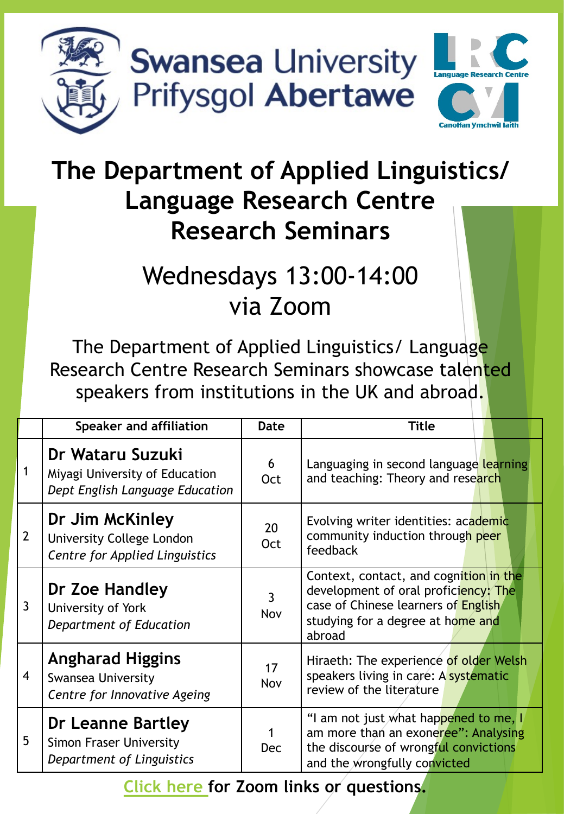

**Swansea University** Prifysgol Abertawe



## **The Department of Applied Linguistics/ Language Research Centre Research Seminars**

## Wednesdays 13:00-14:00 via Zoom

The Department of Applied Linguistics/ Language Research Centre Research Seminars showcase talented speakers from institutions in the UK and abroad.

|                | Speaker and affiliation                                                               | Date             | Title                                                                                                                                                                |
|----------------|---------------------------------------------------------------------------------------|------------------|----------------------------------------------------------------------------------------------------------------------------------------------------------------------|
|                | Dr Wataru Suzuki<br>Miyagi University of Education<br>Dept English Language Education | 6<br>Oct         | Languaging in second language learning<br>and teaching: Theory and research                                                                                          |
| $\overline{2}$ | Dr Jim McKinley<br><b>University College London</b><br>Centre for Applied Linguistics | 20<br><b>Oct</b> | Evolving writer identities: academic<br>community induction through peer<br>feedback                                                                                 |
| $\mathfrak{Z}$ | Dr Zoe Handley<br>University of York<br>Department of Education                       | 3<br>Nov         | Context, contact, and cognition in the<br>development of oral proficiency: The<br>case of Chinese learners of English<br>studying for a degree at home and<br>abroad |
| 4              | <b>Angharad Higgins</b><br><b>Swansea University</b><br>Centre for Innovative Ageing  | 17<br>Nov        | Hiraeth: The experience of older Welsh<br>speakers living in care: A systematic<br>review of the literature                                                          |
| 5              | Dr Leanne Bartley<br><b>Simon Fraser University</b><br>Department of Linguistics      | <b>Dec</b>       | "I am not just what happened to me, I<br>am more than an exoneree": Analysing<br>the discourse of wrongful convictions<br>and the wrongfully convicted               |

**[Click here f](https://docs.google.com/forms/d/e/1FAIpQLScDiHlbj9KZZvfUHTuJR1VV3IOdSmwJV_1JnqOmCn8uF8Mzyw/viewform?usp=sf_link)or Zoom links or questions.**